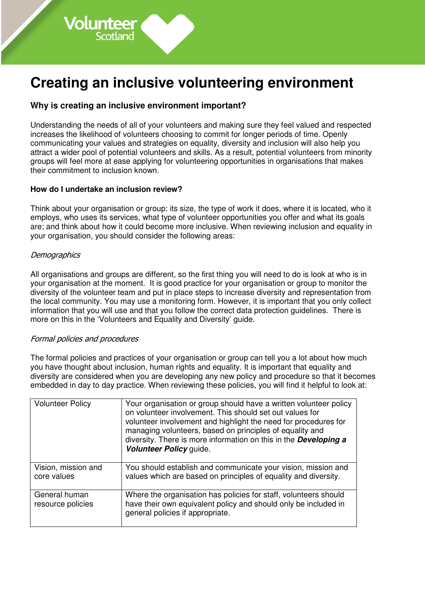# **Why is creating an inclusive environment important?**

Understanding the needs of all of your volunteers and making sure they feel valued and respected increases the likelihood of volunteers choosing to commit for longer periods of time. Openly communicating your values and strategies on equality, diversity and inclusion will also help you attract a wider pool of potential volunteers and skills. As a result, potential volunteers from minority groups will feel more at ease applying for volunteering opportunities in organisations that makes their commitment to inclusion known.

## **How do I undertake an inclusion review?**

Volunteer

Think about your organisation or group: its size, the type of work it does, where it is located, who it employs, who uses its services, what type of volunteer opportunities you offer and what its goals are; and think about how it could become more inclusive. When reviewing inclusion and equality in your organisation, you should consider the following areas:

## **Demographics**

All organisations and groups are different, so the first thing you will need to do is look at who is in your organisation at the moment. It is good practice for your organisation or group to monitor the diversity of the volunteer team and put in place steps to increase diversity and representation from the local community. You may use a monitoring form. However, it is important that you only collect information that you will use and that you follow the correct data protection guidelines. There is more on this in the 'Volunteers and Equality and Diversity' guide.

#### Formal policies and procedures

The formal policies and practices of your organisation or group can tell you a lot about how much you have thought about inclusion, human rights and equality. It is important that equality and diversity are considered when you are developing any new policy and procedure so that it becomes embedded in day to day practice. When reviewing these policies, you will find it helpful to look at:

| <b>Volunteer Policy</b>            | Your organisation or group should have a written volunteer policy<br>on volunteer involvement. This should set out values for<br>volunteer involvement and highlight the need for procedures for<br>managing volunteers, based on principles of equality and<br>diversity. There is more information on this in the <b>Developing a</b><br>Volunteer Policy guide. |
|------------------------------------|--------------------------------------------------------------------------------------------------------------------------------------------------------------------------------------------------------------------------------------------------------------------------------------------------------------------------------------------------------------------|
| Vision, mission and<br>core values | You should establish and communicate your vision, mission and<br>values which are based on principles of equality and diversity.                                                                                                                                                                                                                                   |
| General human<br>resource policies | Where the organisation has policies for staff, volunteers should<br>have their own equivalent policy and should only be included in<br>general policies if appropriate.                                                                                                                                                                                            |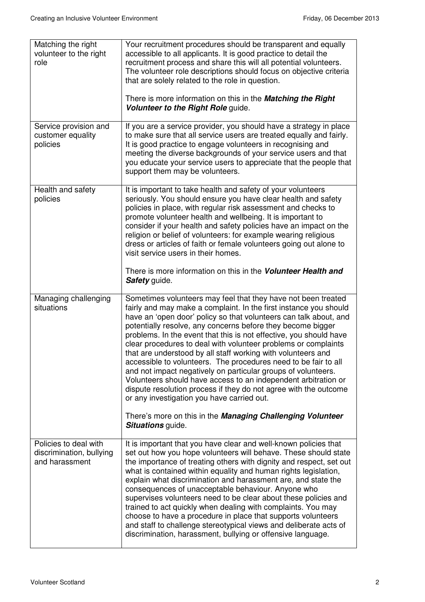| Matching the right<br>volunteer to the right<br>role                | Your recruitment procedures should be transparent and equally<br>accessible to all applicants. It is good practice to detail the<br>recruitment process and share this will all potential volunteers.<br>The volunteer role descriptions should focus on objective criteria<br>that are solely related to the role in question.<br>There is more information on this in the <b>Matching the Right</b><br>Volunteer to the Right Role guide.                                                                                                                                                                                                                                                                                                                                                            |
|---------------------------------------------------------------------|--------------------------------------------------------------------------------------------------------------------------------------------------------------------------------------------------------------------------------------------------------------------------------------------------------------------------------------------------------------------------------------------------------------------------------------------------------------------------------------------------------------------------------------------------------------------------------------------------------------------------------------------------------------------------------------------------------------------------------------------------------------------------------------------------------|
| Service provision and<br>customer equality<br>policies              | If you are a service provider, you should have a strategy in place<br>to make sure that all service users are treated equally and fairly.<br>It is good practice to engage volunteers in recognising and<br>meeting the diverse backgrounds of your service users and that<br>you educate your service users to appreciate that the people that<br>support them may be volunteers.                                                                                                                                                                                                                                                                                                                                                                                                                     |
| Health and safety<br>policies                                       | It is important to take health and safety of your volunteers<br>seriously. You should ensure you have clear health and safety<br>policies in place, with regular risk assessment and checks to<br>promote volunteer health and wellbeing. It is important to<br>consider if your health and safety policies have an impact on the<br>religion or belief of volunteers: for example wearing religious<br>dress or articles of faith or female volunteers going out alone to<br>visit service users in their homes.                                                                                                                                                                                                                                                                                      |
|                                                                     | There is more information on this in the Volunteer Health and<br>Safety guide.                                                                                                                                                                                                                                                                                                                                                                                                                                                                                                                                                                                                                                                                                                                         |
| Managing challenging<br>situations                                  | Sometimes volunteers may feel that they have not been treated<br>fairly and may make a complaint. In the first instance you should<br>have an 'open door' policy so that volunteers can talk about, and<br>potentially resolve, any concerns before they become bigger<br>problems. In the event that this is not effective, you should have<br>clear procedures to deal with volunteer problems or complaints<br>that are understood by all staff working with volunteers and<br>accessible to volunteers. The procedures need to be fair to all<br>and not impact negatively on particular groups of volunteers.<br>Volunteers should have access to an independent arbitration or<br>dispute resolution process if they do not agree with the outcome<br>or any investigation you have carried out. |
|                                                                     | There's more on this in the Managing Challenging Volunteer<br><b>Situations</b> guide.                                                                                                                                                                                                                                                                                                                                                                                                                                                                                                                                                                                                                                                                                                                 |
| Policies to deal with<br>discrimination, bullying<br>and harassment | It is important that you have clear and well-known policies that<br>set out how you hope volunteers will behave. These should state<br>the importance of treating others with dignity and respect, set out<br>what is contained within equality and human rights legislation,<br>explain what discrimination and harassment are, and state the<br>consequences of unacceptable behaviour. Anyone who<br>supervises volunteers need to be clear about these policies and<br>trained to act quickly when dealing with complaints. You may<br>choose to have a procedure in place that supports volunteers<br>and staff to challenge stereotypical views and deliberate acts of<br>discrimination, harassment, bullying or offensive language.                                                            |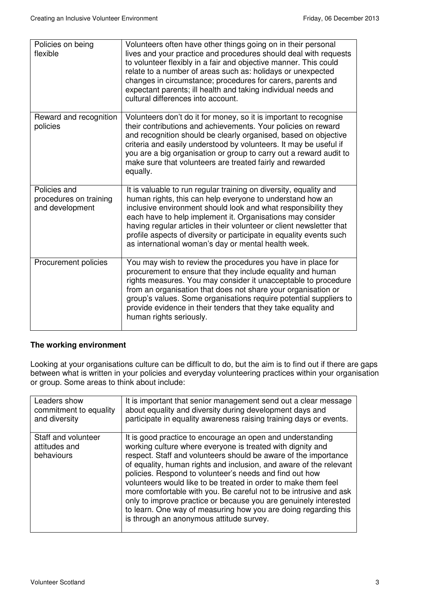| Policies on being<br>flexible                             | Volunteers often have other things going on in their personal<br>lives and your practice and procedures should deal with requests<br>to volunteer flexibly in a fair and objective manner. This could<br>relate to a number of areas such as: holidays or unexpected<br>changes in circumstance; procedures for carers, parents and<br>expectant parents; ill health and taking individual needs and<br>cultural differences into account.                           |
|-----------------------------------------------------------|----------------------------------------------------------------------------------------------------------------------------------------------------------------------------------------------------------------------------------------------------------------------------------------------------------------------------------------------------------------------------------------------------------------------------------------------------------------------|
| Reward and recognition<br>policies                        | Volunteers don't do it for money, so it is important to recognise<br>their contributions and achievements. Your policies on reward<br>and recognition should be clearly organised, based on objective<br>criteria and easily understood by volunteers. It may be useful if<br>you are a big organisation or group to carry out a reward audit to<br>make sure that volunteers are treated fairly and rewarded<br>equally.                                            |
| Policies and<br>procedures on training<br>and development | It is valuable to run regular training on diversity, equality and<br>human rights, this can help everyone to understand how an<br>inclusive environment should look and what responsibility they<br>each have to help implement it. Organisations may consider<br>having regular articles in their volunteer or client newsletter that<br>profile aspects of diversity or participate in equality events such<br>as international woman's day or mental health week. |
| Procurement policies                                      | You may wish to review the procedures you have in place for<br>procurement to ensure that they include equality and human<br>rights measures. You may consider it unacceptable to procedure<br>from an organisation that does not share your organisation or<br>group's values. Some organisations require potential suppliers to<br>provide evidence in their tenders that they take equality and<br>human rights seriously.                                        |

## **The working environment**

Looking at your organisations culture can be difficult to do, but the aim is to find out if there are gaps between what is written in your policies and everyday volunteering practices within your organisation or group. Some areas to think about include:

| Leaders show                                       | It is important that senior management send out a clear message                                                                                                                                                                                                                                                                                                                                                                                                                                                                                                                                                                                        |
|----------------------------------------------------|--------------------------------------------------------------------------------------------------------------------------------------------------------------------------------------------------------------------------------------------------------------------------------------------------------------------------------------------------------------------------------------------------------------------------------------------------------------------------------------------------------------------------------------------------------------------------------------------------------------------------------------------------------|
| commitment to equality                             | about equality and diversity during development days and                                                                                                                                                                                                                                                                                                                                                                                                                                                                                                                                                                                               |
| and diversity                                      | participate in equality awareness raising training days or events.                                                                                                                                                                                                                                                                                                                                                                                                                                                                                                                                                                                     |
| Staff and volunteer<br>attitudes and<br>behaviours | It is good practice to encourage an open and understanding<br>working culture where everyone is treated with dignity and<br>respect. Staff and volunteers should be aware of the importance<br>of equality, human rights and inclusion, and aware of the relevant<br>policies. Respond to volunteer's needs and find out how<br>volunteers would like to be treated in order to make them feel<br>more comfortable with you. Be careful not to be intrusive and ask<br>only to improve practice or because you are genuinely interested<br>to learn. One way of measuring how you are doing regarding this<br>is through an anonymous attitude survey. |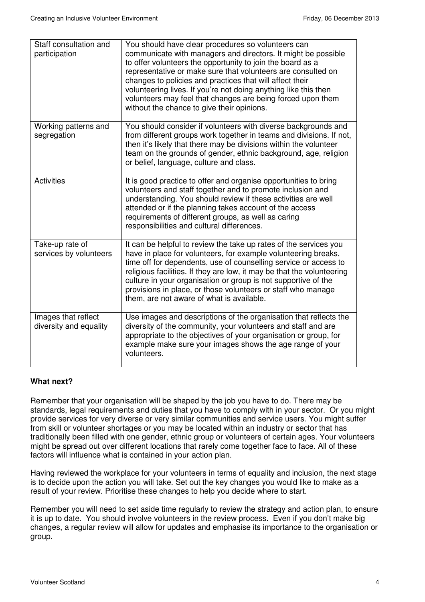| Staff consultation and<br>participation       | You should have clear procedures so volunteers can<br>communicate with managers and directors. It might be possible<br>to offer volunteers the opportunity to join the board as a<br>representative or make sure that volunteers are consulted on<br>changes to policies and practices that will affect their<br>volunteering lives. If you're not doing anything like this then<br>volunteers may feel that changes are being forced upon them<br>without the chance to give their opinions. |
|-----------------------------------------------|-----------------------------------------------------------------------------------------------------------------------------------------------------------------------------------------------------------------------------------------------------------------------------------------------------------------------------------------------------------------------------------------------------------------------------------------------------------------------------------------------|
| Working patterns and<br>segregation           | You should consider if volunteers with diverse backgrounds and<br>from different groups work together in teams and divisions. If not,<br>then it's likely that there may be divisions within the volunteer<br>team on the grounds of gender, ethnic background, age, religion<br>or belief, language, culture and class.                                                                                                                                                                      |
| <b>Activities</b>                             | It is good practice to offer and organise opportunities to bring<br>volunteers and staff together and to promote inclusion and<br>understanding. You should review if these activities are well<br>attended or if the planning takes account of the access<br>requirements of different groups, as well as caring<br>responsibilities and cultural differences.                                                                                                                               |
| Take-up rate of<br>services by volunteers     | It can be helpful to review the take up rates of the services you<br>have in place for volunteers, for example volunteering breaks,<br>time off for dependents, use of counselling service or access to<br>religious facilities. If they are low, it may be that the volunteering<br>culture in your organisation or group is not supportive of the<br>provisions in place, or those volunteers or staff who manage<br>them, are not aware of what is available.                              |
| Images that reflect<br>diversity and equality | Use images and descriptions of the organisation that reflects the<br>diversity of the community, your volunteers and staff and are<br>appropriate to the objectives of your organisation or group, for<br>example make sure your images shows the age range of your<br>volunteers.                                                                                                                                                                                                            |

#### **What next?**

Remember that your organisation will be shaped by the job you have to do. There may be standards, legal requirements and duties that you have to comply with in your sector. Or you might provide services for very diverse or very similar communities and service users. You might suffer from skill or volunteer shortages or you may be located within an industry or sector that has traditionally been filled with one gender, ethnic group or volunteers of certain ages. Your volunteers might be spread out over different locations that rarely come together face to face. All of these factors will influence what is contained in your action plan.

Having reviewed the workplace for your volunteers in terms of equality and inclusion, the next stage is to decide upon the action you will take. Set out the key changes you would like to make as a result of your review. Prioritise these changes to help you decide where to start.

Remember you will need to set aside time regularly to review the strategy and action plan, to ensure it is up to date. You should involve volunteers in the review process. Even if you don't make big changes, a regular review will allow for updates and emphasise its importance to the organisation or group.